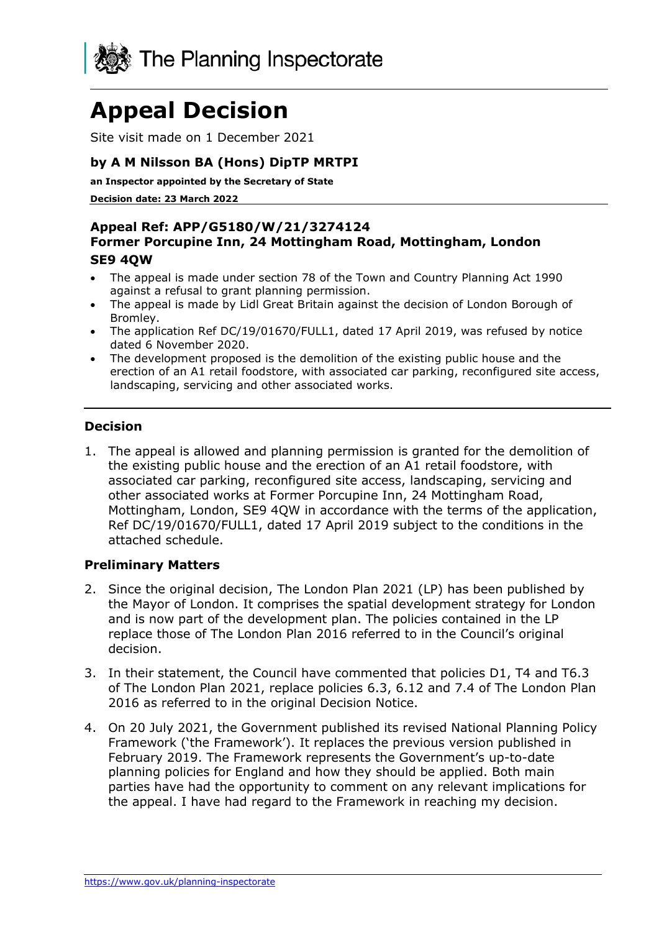

# **Appeal Decision**

Site visit made on 1 December 2021

#### **by A M Nilsson BA (Hons) DipTP MRTPI**

**an Inspector appointed by the Secretary of State** 

**Decision date: 23 March 2022**

#### **Appeal Ref: APP/G5180/W/21/3274124 Former Porcupine Inn, 24 Mottingham Road, Mottingham, London SE9 4QW**

- The appeal is made under section 78 of the Town and Country Planning Act 1990 against a refusal to grant planning permission.
- The appeal is made by Lidl Great Britain against the decision of London Borough of Bromley.
- The application Ref DC/19/01670/FULL1, dated 17 April 2019, was refused by notice dated 6 November 2020.
- The development proposed is the demolition of the existing public house and the erection of an A1 retail foodstore, with associated car parking, reconfigured site access, landscaping, servicing and other associated works.

#### **Decision**

1. The appeal is allowed and planning permission is granted for the demolition of the existing public house and the erection of an A1 retail foodstore, with associated car parking, reconfigured site access, landscaping, servicing and other associated works at Former Porcupine Inn, 24 Mottingham Road, Mottingham, London, SE9 4QW in accordance with the terms of the application, Ref DC/19/01670/FULL1, dated 17 April 2019 subject to the conditions in the attached schedule.

#### **Preliminary Matters**

- 2. Since the original decision, The London Plan 2021 (LP) has been published by the Mayor of London. It comprises the spatial development strategy for London and is now part of the development plan. The policies contained in the LP replace those of The London Plan 2016 referred to in the Council's original decision.
- 3. In their statement, the Council have commented that policies D1, T4 and T6.3 of The London Plan 2021, replace policies 6.3, 6.12 and 7.4 of The London Plan 2016 as referred to in the original Decision Notice.
- 4. On 20 July 2021, the Government published its revised National Planning Policy Framework ('the Framework'). It replaces the previous version published in February 2019. The Framework represents the Government's up-to-date planning policies for England and how they should be applied. Both main parties have had the opportunity to comment on any relevant implications for the appeal. I have had regard to the Framework in reaching my decision.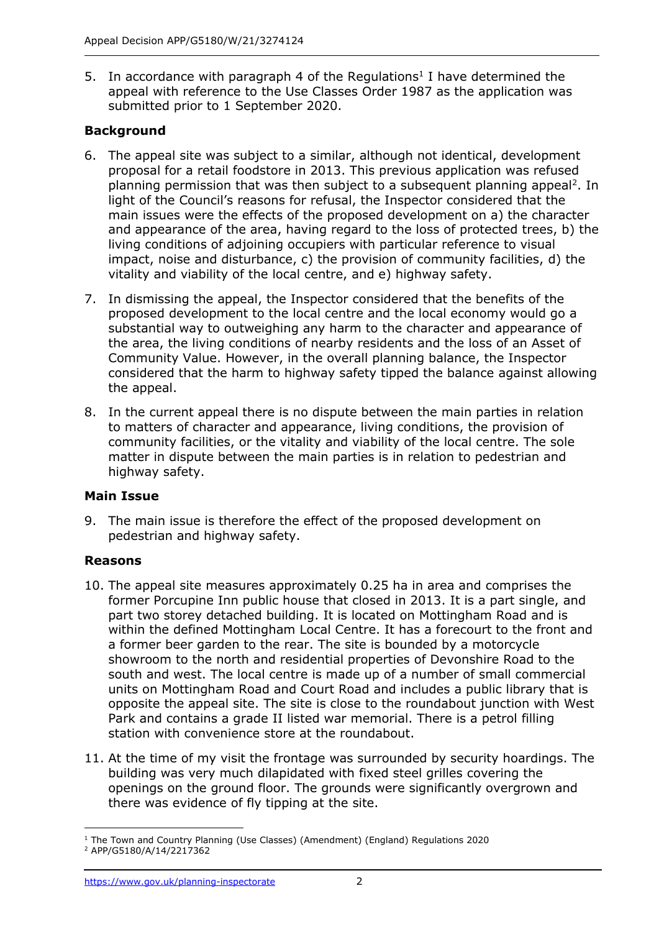5. In accordance with paragraph 4 of the Regulations<sup>1</sup> I have determined the appeal with reference to the Use Classes Order 1987 as the application was submitted prior to 1 September 2020.

## **Background**

- 6. The appeal site was subject to a similar, although not identical, development proposal for a retail foodstore in 2013. This previous application was refused planning permission that was then subject to a subsequent planning appeal<sup>2</sup>. In light of the Council's reasons for refusal, the Inspector considered that the main issues were the effects of the proposed development on a) the character and appearance of the area, having regard to the loss of protected trees, b) the living conditions of adjoining occupiers with particular reference to visual impact, noise and disturbance, c) the provision of community facilities, d) the vitality and viability of the local centre, and e) highway safety.
- 7. In dismissing the appeal, the Inspector considered that the benefits of the proposed development to the local centre and the local economy would go a substantial way to outweighing any harm to the character and appearance of the area, the living conditions of nearby residents and the loss of an Asset of Community Value. However, in the overall planning balance, the Inspector considered that the harm to highway safety tipped the balance against allowing the appeal.
- 8. In the current appeal there is no dispute between the main parties in relation to matters of character and appearance, living conditions, the provision of community facilities, or the vitality and viability of the local centre. The sole matter in dispute between the main parties is in relation to pedestrian and highway safety.

#### **Main Issue**

9. The main issue is therefore the effect of the proposed development on pedestrian and highway safety.

#### **Reasons**

- 10. The appeal site measures approximately 0.25 ha in area and comprises the former Porcupine Inn public house that closed in 2013. It is a part single, and part two storey detached building. It is located on Mottingham Road and is within the defined Mottingham Local Centre. It has a forecourt to the front and a former beer garden to the rear. The site is bounded by a motorcycle showroom to the north and residential properties of Devonshire Road to the south and west. The local centre is made up of a number of small commercial units on Mottingham Road and Court Road and includes a public library that is opposite the appeal site. The site is close to the roundabout junction with West Park and contains a grade II listed war memorial. There is a petrol filling station with convenience store at the roundabout.
- 11. At the time of my visit the frontage was surrounded by security hoardings. The building was very much dilapidated with fixed steel grilles covering the openings on the ground floor. The grounds were significantly overgrown and there was evidence of fly tipping at the site.

<sup>1</sup> The Town and Country Planning (Use Classes) (Amendment) (England) Regulations 2020 <sup>2</sup> APP/G5180/A/14/2217362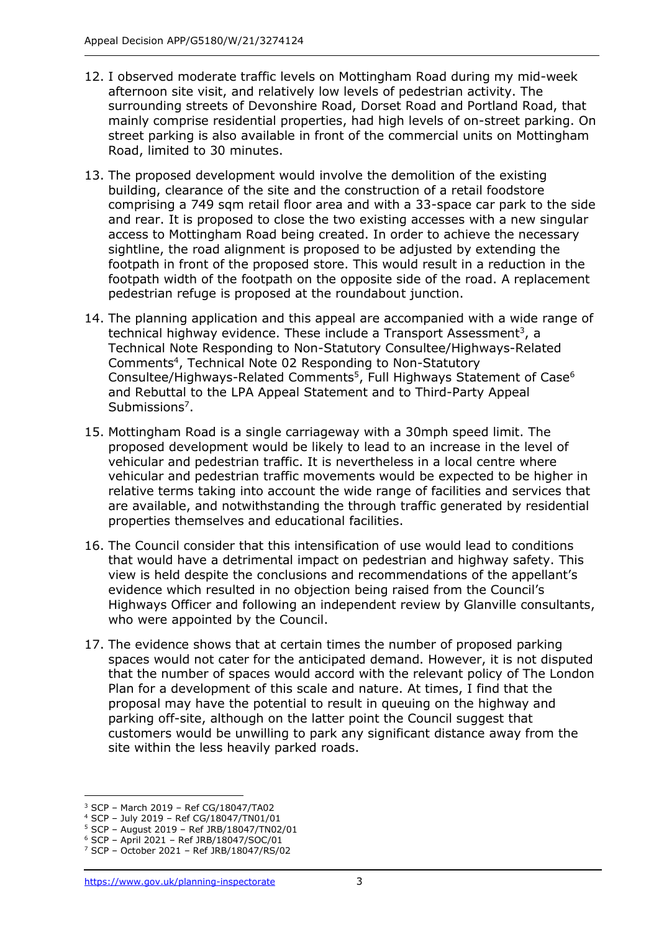- 12. I observed moderate traffic levels on Mottingham Road during my mid-week afternoon site visit, and relatively low levels of pedestrian activity. The surrounding streets of Devonshire Road, Dorset Road and Portland Road, that mainly comprise residential properties, had high levels of on-street parking. On street parking is also available in front of the commercial units on Mottingham Road, limited to 30 minutes.
- 13. The proposed development would involve the demolition of the existing building, clearance of the site and the construction of a retail foodstore comprising a 749 sqm retail floor area and with a 33-space car park to the side and rear. It is proposed to close the two existing accesses with a new singular access to Mottingham Road being created. In order to achieve the necessary sightline, the road alignment is proposed to be adjusted by extending the footpath in front of the proposed store. This would result in a reduction in the footpath width of the footpath on the opposite side of the road. A replacement pedestrian refuge is proposed at the roundabout junction.
- 14. The planning application and this appeal are accompanied with a wide range of technical highway evidence. These include a Transport Assessment<sup>3</sup>, a Technical Note Responding to Non-Statutory Consultee/Highways-Related Comments<sup>4</sup>, Technical Note 02 Responding to Non-Statutory Consultee/Highways-Related Comments<sup>5</sup>, Full Highways Statement of Case<sup>6</sup> and Rebuttal to the LPA Appeal Statement and to Third-Party Appeal Submissions<sup>7</sup>.
- 15. Mottingham Road is a single carriageway with a 30mph speed limit. The proposed development would be likely to lead to an increase in the level of vehicular and pedestrian traffic. It is nevertheless in a local centre where vehicular and pedestrian traffic movements would be expected to be higher in relative terms taking into account the wide range of facilities and services that are available, and notwithstanding the through traffic generated by residential properties themselves and educational facilities.
- 16. The Council consider that this intensification of use would lead to conditions that would have a detrimental impact on pedestrian and highway safety. This view is held despite the conclusions and recommendations of the appellant's evidence which resulted in no objection being raised from the Council's Highways Officer and following an independent review by Glanville consultants, who were appointed by the Council.
- 17. The evidence shows that at certain times the number of proposed parking spaces would not cater for the anticipated demand. However, it is not disputed that the number of spaces would accord with the relevant policy of The London Plan for a development of this scale and nature. At times, I find that the proposal may have the potential to result in queuing on the highway and parking off-site, although on the latter point the Council suggest that customers would be unwilling to park any significant distance away from the site within the less heavily parked roads.

<sup>3</sup> SCP – March 2019 – Ref CG/18047/TA02

<sup>4</sup> SCP – July 2019 – Ref CG/18047/TN01/01

<sup>5</sup> SCP – August 2019 – Ref JRB/18047/TN02/01

<sup>6</sup> SCP – April 2021 – Ref JRB/18047/SOC/01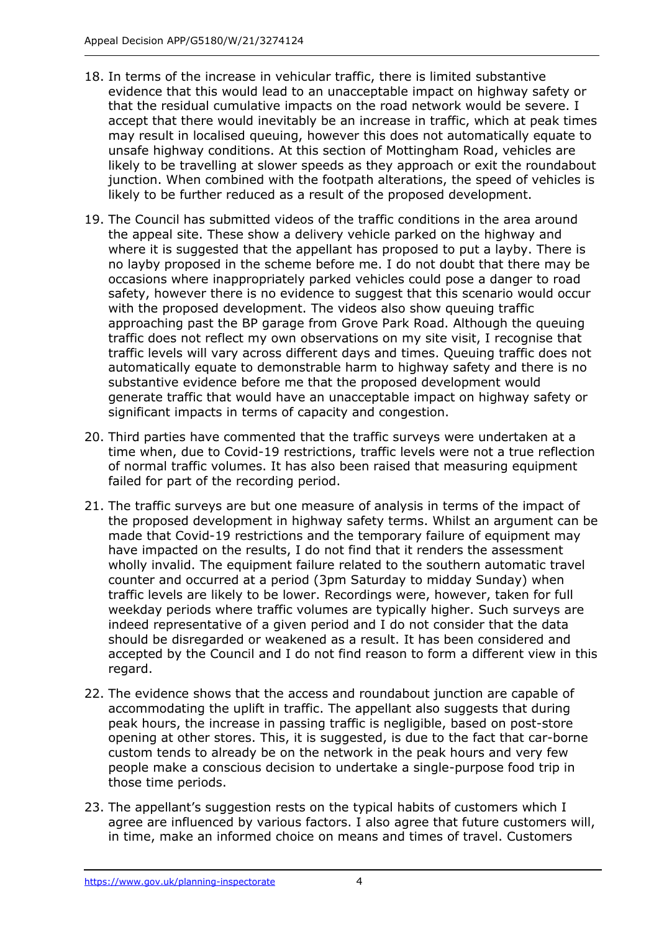- 18. In terms of the increase in vehicular traffic, there is limited substantive evidence that this would lead to an unacceptable impact on highway safety or that the residual cumulative impacts on the road network would be severe. I accept that there would inevitably be an increase in traffic, which at peak times may result in localised queuing, however this does not automatically equate to unsafe highway conditions. At this section of Mottingham Road, vehicles are likely to be travelling at slower speeds as they approach or exit the roundabout junction. When combined with the footpath alterations, the speed of vehicles is likely to be further reduced as a result of the proposed development.
- 19. The Council has submitted videos of the traffic conditions in the area around the appeal site. These show a delivery vehicle parked on the highway and where it is suggested that the appellant has proposed to put a layby. There is no layby proposed in the scheme before me. I do not doubt that there may be occasions where inappropriately parked vehicles could pose a danger to road safety, however there is no evidence to suggest that this scenario would occur with the proposed development. The videos also show queuing traffic approaching past the BP garage from Grove Park Road. Although the queuing traffic does not reflect my own observations on my site visit, I recognise that traffic levels will vary across different days and times. Queuing traffic does not automatically equate to demonstrable harm to highway safety and there is no substantive evidence before me that the proposed development would generate traffic that would have an unacceptable impact on highway safety or significant impacts in terms of capacity and congestion.
- 20. Third parties have commented that the traffic surveys were undertaken at a time when, due to Covid-19 restrictions, traffic levels were not a true reflection of normal traffic volumes. It has also been raised that measuring equipment failed for part of the recording period.
- 21. The traffic surveys are but one measure of analysis in terms of the impact of the proposed development in highway safety terms. Whilst an argument can be made that Covid-19 restrictions and the temporary failure of equipment may have impacted on the results, I do not find that it renders the assessment wholly invalid. The equipment failure related to the southern automatic travel counter and occurred at a period (3pm Saturday to midday Sunday) when traffic levels are likely to be lower. Recordings were, however, taken for full weekday periods where traffic volumes are typically higher. Such surveys are indeed representative of a given period and I do not consider that the data should be disregarded or weakened as a result. It has been considered and accepted by the Council and I do not find reason to form a different view in this regard.
- 22. The evidence shows that the access and roundabout junction are capable of accommodating the uplift in traffic. The appellant also suggests that during peak hours, the increase in passing traffic is negligible, based on post-store opening at other stores. This, it is suggested, is due to the fact that car-borne custom tends to already be on the network in the peak hours and very few people make a conscious decision to undertake a single-purpose food trip in those time periods.
- 23. The appellant's suggestion rests on the typical habits of customers which I agree are influenced by various factors. I also agree that future customers will, in time, make an informed choice on means and times of travel. Customers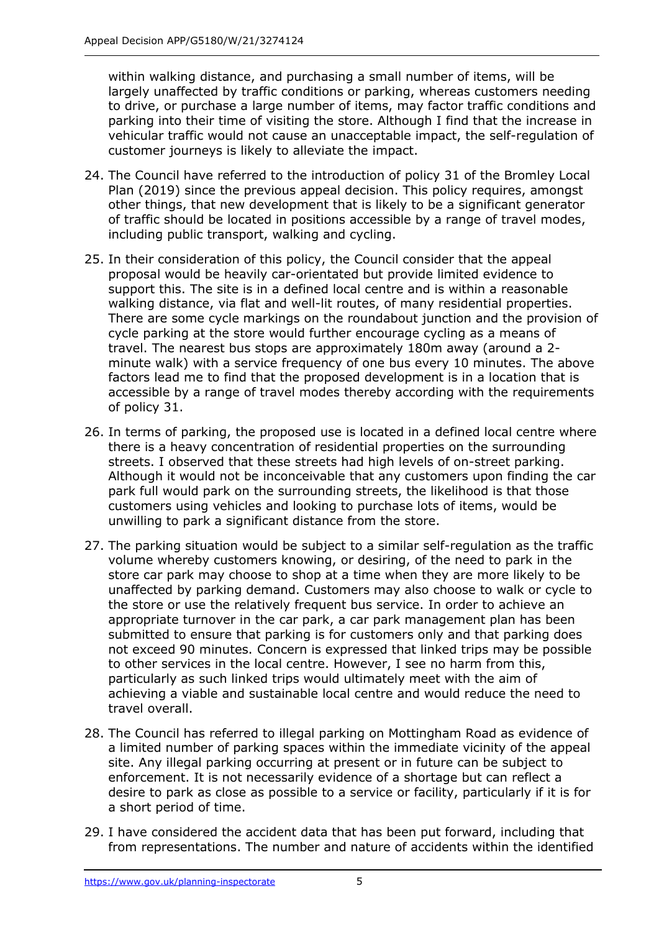within walking distance, and purchasing a small number of items, will be largely unaffected by traffic conditions or parking, whereas customers needing to drive, or purchase a large number of items, may factor traffic conditions and parking into their time of visiting the store. Although I find that the increase in vehicular traffic would not cause an unacceptable impact, the self-regulation of customer journeys is likely to alleviate the impact.

- 24. The Council have referred to the introduction of policy 31 of the Bromley Local Plan (2019) since the previous appeal decision. This policy requires, amongst other things, that new development that is likely to be a significant generator of traffic should be located in positions accessible by a range of travel modes, including public transport, walking and cycling.
- 25. In their consideration of this policy, the Council consider that the appeal proposal would be heavily car-orientated but provide limited evidence to support this. The site is in a defined local centre and is within a reasonable walking distance, via flat and well-lit routes, of many residential properties. There are some cycle markings on the roundabout junction and the provision of cycle parking at the store would further encourage cycling as a means of travel. The nearest bus stops are approximately 180m away (around a 2 minute walk) with a service frequency of one bus every 10 minutes. The above factors lead me to find that the proposed development is in a location that is accessible by a range of travel modes thereby according with the requirements of policy 31.
- 26. In terms of parking, the proposed use is located in a defined local centre where there is a heavy concentration of residential properties on the surrounding streets. I observed that these streets had high levels of on-street parking. Although it would not be inconceivable that any customers upon finding the car park full would park on the surrounding streets, the likelihood is that those customers using vehicles and looking to purchase lots of items, would be unwilling to park a significant distance from the store.
- 27. The parking situation would be subject to a similar self-regulation as the traffic volume whereby customers knowing, or desiring, of the need to park in the store car park may choose to shop at a time when they are more likely to be unaffected by parking demand. Customers may also choose to walk or cycle to the store or use the relatively frequent bus service. In order to achieve an appropriate turnover in the car park, a car park management plan has been submitted to ensure that parking is for customers only and that parking does not exceed 90 minutes. Concern is expressed that linked trips may be possible to other services in the local centre. However, I see no harm from this, particularly as such linked trips would ultimately meet with the aim of achieving a viable and sustainable local centre and would reduce the need to travel overall.
- 28. The Council has referred to illegal parking on Mottingham Road as evidence of a limited number of parking spaces within the immediate vicinity of the appeal site. Any illegal parking occurring at present or in future can be subject to enforcement. It is not necessarily evidence of a shortage but can reflect a desire to park as close as possible to a service or facility, particularly if it is for a short period of time.
- 29. I have considered the accident data that has been put forward, including that from representations. The number and nature of accidents within the identified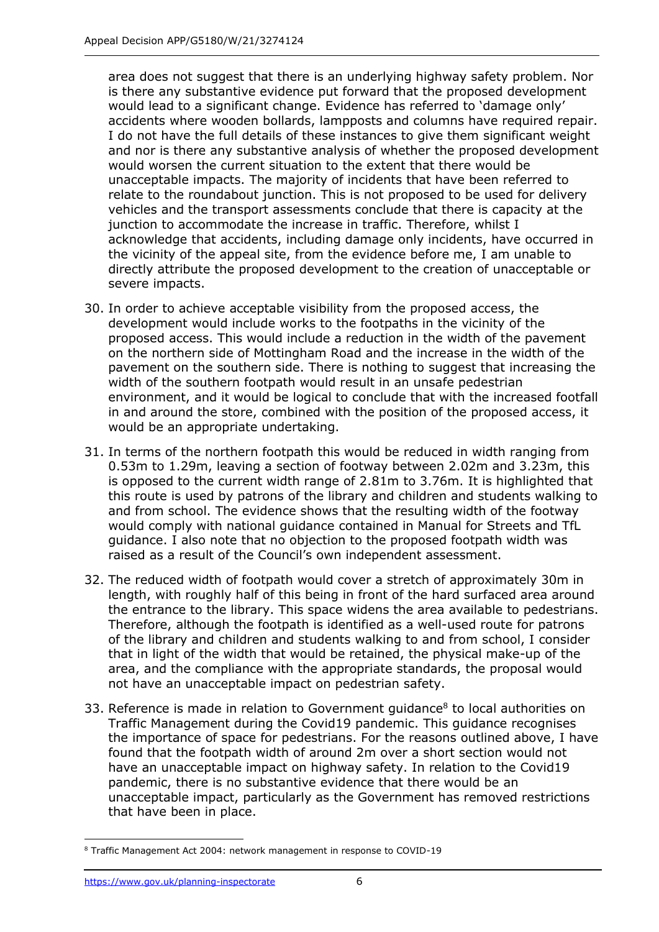area does not suggest that there is an underlying highway safety problem. Nor is there any substantive evidence put forward that the proposed development would lead to a significant change. Evidence has referred to 'damage only' accidents where wooden bollards, lampposts and columns have required repair. I do not have the full details of these instances to give them significant weight and nor is there any substantive analysis of whether the proposed development would worsen the current situation to the extent that there would be unacceptable impacts. The majority of incidents that have been referred to relate to the roundabout junction. This is not proposed to be used for delivery vehicles and the transport assessments conclude that there is capacity at the junction to accommodate the increase in traffic. Therefore, whilst I acknowledge that accidents, including damage only incidents, have occurred in the vicinity of the appeal site, from the evidence before me, I am unable to directly attribute the proposed development to the creation of unacceptable or severe impacts.

- 30. In order to achieve acceptable visibility from the proposed access, the development would include works to the footpaths in the vicinity of the proposed access. This would include a reduction in the width of the pavement on the northern side of Mottingham Road and the increase in the width of the pavement on the southern side. There is nothing to suggest that increasing the width of the southern footpath would result in an unsafe pedestrian environment, and it would be logical to conclude that with the increased footfall in and around the store, combined with the position of the proposed access, it would be an appropriate undertaking.
- 31. In terms of the northern footpath this would be reduced in width ranging from 0.53m to 1.29m, leaving a section of footway between 2.02m and 3.23m, this is opposed to the current width range of 2.81m to 3.76m. It is highlighted that this route is used by patrons of the library and children and students walking to and from school. The evidence shows that the resulting width of the footway would comply with national guidance contained in Manual for Streets and TfL guidance. I also note that no objection to the proposed footpath width was raised as a result of the Council's own independent assessment.
- 32. The reduced width of footpath would cover a stretch of approximately 30m in length, with roughly half of this being in front of the hard surfaced area around the entrance to the library. This space widens the area available to pedestrians. Therefore, although the footpath is identified as a well-used route for patrons of the library and children and students walking to and from school, I consider that in light of the width that would be retained, the physical make-up of the area, and the compliance with the appropriate standards, the proposal would not have an unacceptable impact on pedestrian safety.
- 33. Reference is made in relation to Government guidance<sup>8</sup> to local authorities on Traffic Management during the Covid19 pandemic. This guidance recognises the importance of space for pedestrians. For the reasons outlined above, I have found that the footpath width of around 2m over a short section would not have an unacceptable impact on highway safety. In relation to the Covid19 pandemic, there is no substantive evidence that there would be an unacceptable impact, particularly as the Government has removed restrictions that have been in place.

<sup>8</sup> Traffic Management Act 2004: network management in response to COVID-19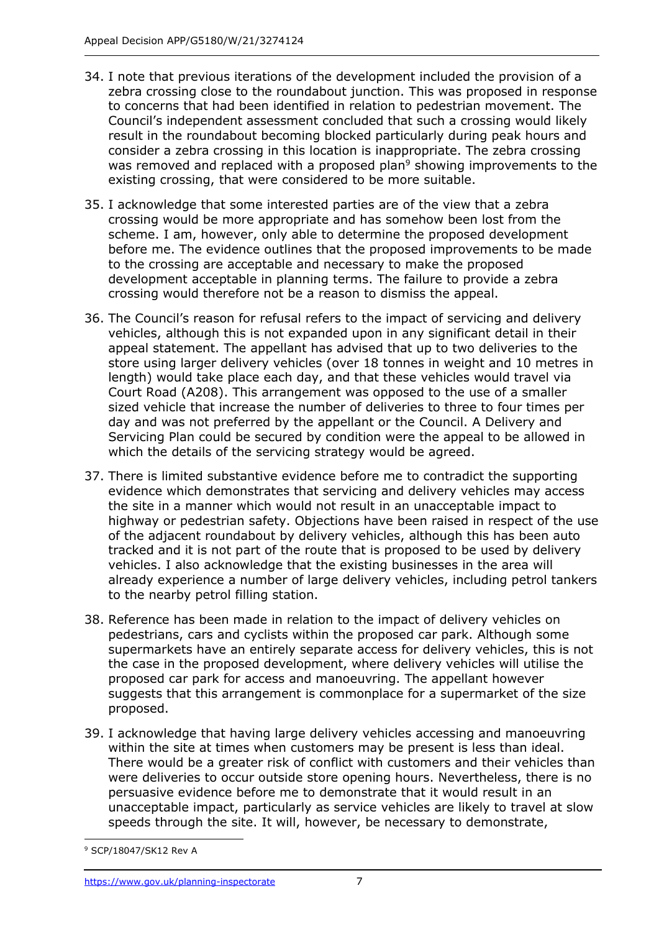- 34. I note that previous iterations of the development included the provision of a zebra crossing close to the roundabout junction. This was proposed in response to concerns that had been identified in relation to pedestrian movement. The Council's independent assessment concluded that such a crossing would likely result in the roundabout becoming blocked particularly during peak hours and consider a zebra crossing in this location is inappropriate. The zebra crossing was removed and replaced with a proposed plan<sup>9</sup> showing improvements to the existing crossing, that were considered to be more suitable.
- 35. I acknowledge that some interested parties are of the view that a zebra crossing would be more appropriate and has somehow been lost from the scheme. I am, however, only able to determine the proposed development before me. The evidence outlines that the proposed improvements to be made to the crossing are acceptable and necessary to make the proposed development acceptable in planning terms. The failure to provide a zebra crossing would therefore not be a reason to dismiss the appeal.
- 36. The Council's reason for refusal refers to the impact of servicing and delivery vehicles, although this is not expanded upon in any significant detail in their appeal statement. The appellant has advised that up to two deliveries to the store using larger delivery vehicles (over 18 tonnes in weight and 10 metres in length) would take place each day, and that these vehicles would travel via Court Road (A208). This arrangement was opposed to the use of a smaller sized vehicle that increase the number of deliveries to three to four times per day and was not preferred by the appellant or the Council. A Delivery and Servicing Plan could be secured by condition were the appeal to be allowed in which the details of the servicing strategy would be agreed.
- 37. There is limited substantive evidence before me to contradict the supporting evidence which demonstrates that servicing and delivery vehicles may access the site in a manner which would not result in an unacceptable impact to highway or pedestrian safety. Objections have been raised in respect of the use of the adjacent roundabout by delivery vehicles, although this has been auto tracked and it is not part of the route that is proposed to be used by delivery vehicles. I also acknowledge that the existing businesses in the area will already experience a number of large delivery vehicles, including petrol tankers to the nearby petrol filling station.
- 38. Reference has been made in relation to the impact of delivery vehicles on pedestrians, cars and cyclists within the proposed car park. Although some supermarkets have an entirely separate access for delivery vehicles, this is not the case in the proposed development, where delivery vehicles will utilise the proposed car park for access and manoeuvring. The appellant however suggests that this arrangement is commonplace for a supermarket of the size proposed.
- 39. I acknowledge that having large delivery vehicles accessing and manoeuvring within the site at times when customers may be present is less than ideal. There would be a greater risk of conflict with customers and their vehicles than were deliveries to occur outside store opening hours. Nevertheless, there is no persuasive evidence before me to demonstrate that it would result in an unacceptable impact, particularly as service vehicles are likely to travel at slow speeds through the site. It will, however, be necessary to demonstrate,

<sup>9</sup> SCP/18047/SK12 Rev A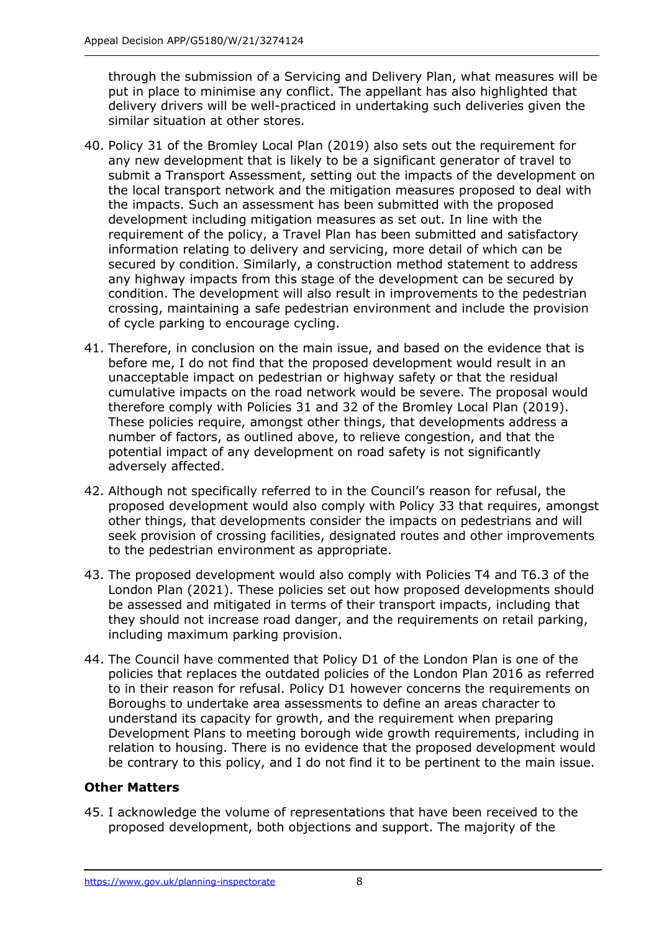through the submission of a Servicing and Delivery Plan, what measures will be put in place to minimise any conflict. The appellant has also highlighted that delivery drivers will be well-practiced in undertaking such deliveries given the similar situation at other stores.

- 40. Policy 31 of the Bromley Local Plan (2019) also sets out the requirement for any new development that is likely to be a significant generator of travel to submit a Transport Assessment, setting out the impacts of the development on the local transport network and the mitigation measures proposed to deal with the impacts. Such an assessment has been submitted with the proposed development including mitigation measures as set out. In line with the requirement of the policy, a Travel Plan has been submitted and satisfactory information relating to delivery and servicing, more detail of which can be secured by condition. Similarly, a construction method statement to address any highway impacts from this stage of the development can be secured by condition. The development will also result in improvements to the pedestrian crossing, maintaining a safe pedestrian environment and include the provision of cycle parking to encourage cycling.
- 41. Therefore, in conclusion on the main issue, and based on the evidence that is before me, I do not find that the proposed development would result in an unacceptable impact on pedestrian or highway safety or that the residual cumulative impacts on the road network would be severe. The proposal would therefore comply with Policies 31 and 32 of the Bromley Local Plan (2019). These policies require, amongst other things, that developments address a number of factors, as outlined above, to relieve congestion, and that the potential impact of any development on road safety is not significantly adversely affected.
- 42. Although not specifically referred to in the Council's reason for refusal, the proposed development would also comply with Policy 33 that requires, amongst other things, that developments consider the impacts on pedestrians and will seek provision of crossing facilities, designated routes and other improvements to the pedestrian environment as appropriate.
- 43. The proposed development would also comply with Policies T4 and T6.3 of the London Plan (2021). These policies set out how proposed developments should be assessed and mitigated in terms of their transport impacts, including that they should not increase road danger, and the requirements on retail parking, including maximum parking provision.
- 44. The Council have commented that Policy D1 of the London Plan is one of the policies that replaces the outdated policies of the London Plan 2016 as referred to in their reason for refusal. Policy D1 however concerns the requirements on Boroughs to undertake area assessments to define an areas character to understand its capacity for growth, and the requirement when preparing Development Plans to meeting borough wide growth requirements, including in relation to housing. There is no evidence that the proposed development would be contrary to this policy, and I do not find it to be pertinent to the main issue.

#### **Other Matters**

45. I acknowledge the volume of representations that have been received to the proposed development, both objections and support. The majority of the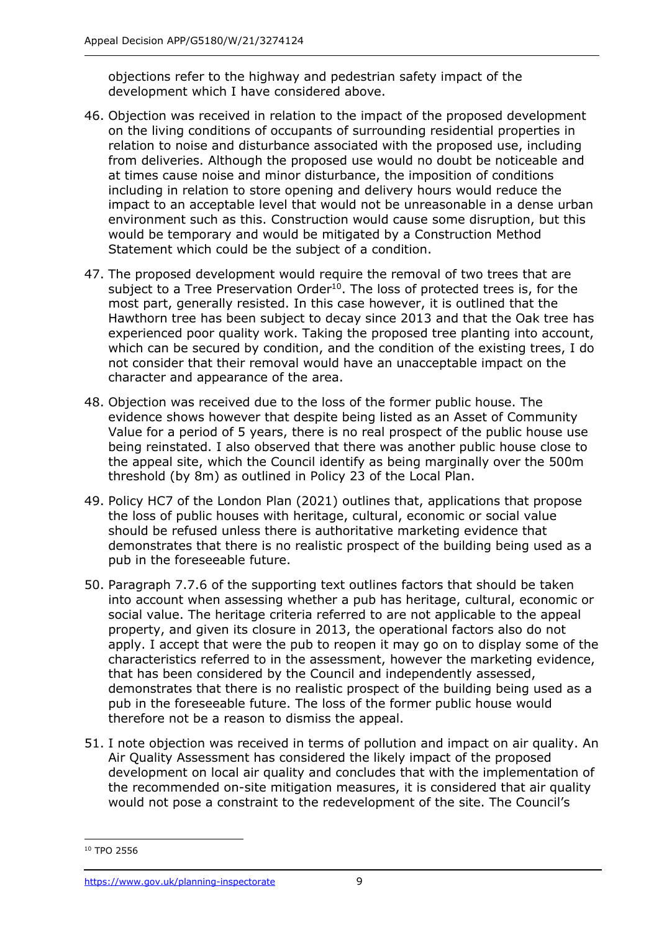objections refer to the highway and pedestrian safety impact of the development which I have considered above.

- 46. Objection was received in relation to the impact of the proposed development on the living conditions of occupants of surrounding residential properties in relation to noise and disturbance associated with the proposed use, including from deliveries. Although the proposed use would no doubt be noticeable and at times cause noise and minor disturbance, the imposition of conditions including in relation to store opening and delivery hours would reduce the impact to an acceptable level that would not be unreasonable in a dense urban environment such as this. Construction would cause some disruption, but this would be temporary and would be mitigated by a Construction Method Statement which could be the subject of a condition.
- 47. The proposed development would require the removal of two trees that are subject to a Tree Preservation Order<sup>10</sup>. The loss of protected trees is, for the most part, generally resisted. In this case however, it is outlined that the Hawthorn tree has been subject to decay since 2013 and that the Oak tree has experienced poor quality work. Taking the proposed tree planting into account, which can be secured by condition, and the condition of the existing trees, I do not consider that their removal would have an unacceptable impact on the character and appearance of the area.
- 48. Objection was received due to the loss of the former public house. The evidence shows however that despite being listed as an Asset of Community Value for a period of 5 years, there is no real prospect of the public house use being reinstated. I also observed that there was another public house close to the appeal site, which the Council identify as being marginally over the 500m threshold (by 8m) as outlined in Policy 23 of the Local Plan.
- 49. Policy HC7 of the London Plan (2021) outlines that, applications that propose the loss of public houses with heritage, cultural, economic or social value should be refused unless there is authoritative marketing evidence that demonstrates that there is no realistic prospect of the building being used as a pub in the foreseeable future.
- 50. Paragraph 7.7.6 of the supporting text outlines factors that should be taken into account when assessing whether a pub has heritage, cultural, economic or social value. The heritage criteria referred to are not applicable to the appeal property, and given its closure in 2013, the operational factors also do not apply. I accept that were the pub to reopen it may go on to display some of the characteristics referred to in the assessment, however the marketing evidence, that has been considered by the Council and independently assessed, demonstrates that there is no realistic prospect of the building being used as a pub in the foreseeable future. The loss of the former public house would therefore not be a reason to dismiss the appeal.
- 51. I note objection was received in terms of pollution and impact on air quality. An Air Quality Assessment has considered the likely impact of the proposed development on local air quality and concludes that with the implementation of the recommended on-site mitigation measures, it is considered that air quality would not pose a constraint to the redevelopment of the site. The Council's

<sup>10</sup> TPO 2556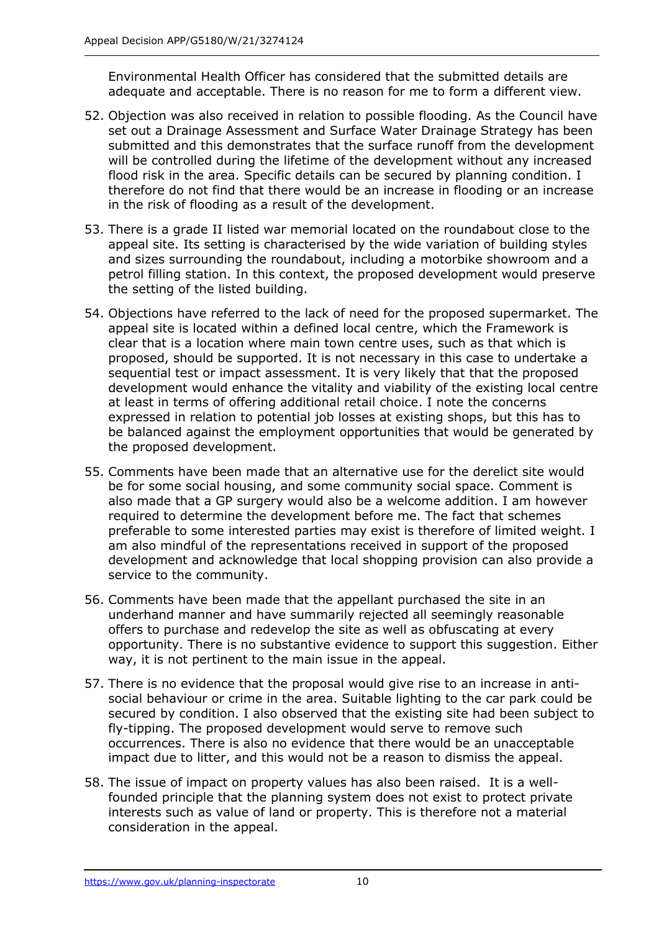Environmental Health Officer has considered that the submitted details are adequate and acceptable. There is no reason for me to form a different view.

- 52. Objection was also received in relation to possible flooding. As the Council have set out a Drainage Assessment and Surface Water Drainage Strategy has been submitted and this demonstrates that the surface runoff from the development will be controlled during the lifetime of the development without any increased flood risk in the area. Specific details can be secured by planning condition. I therefore do not find that there would be an increase in flooding or an increase in the risk of flooding as a result of the development.
- 53. There is a grade II listed war memorial located on the roundabout close to the appeal site. Its setting is characterised by the wide variation of building styles and sizes surrounding the roundabout, including a motorbike showroom and a petrol filling station. In this context, the proposed development would preserve the setting of the listed building.
- 54. Objections have referred to the lack of need for the proposed supermarket. The appeal site is located within a defined local centre, which the Framework is clear that is a location where main town centre uses, such as that which is proposed, should be supported. It is not necessary in this case to undertake a sequential test or impact assessment. It is very likely that that the proposed development would enhance the vitality and viability of the existing local centre at least in terms of offering additional retail choice. I note the concerns expressed in relation to potential job losses at existing shops, but this has to be balanced against the employment opportunities that would be generated by the proposed development.
- 55. Comments have been made that an alternative use for the derelict site would be for some social housing, and some community social space. Comment is also made that a GP surgery would also be a welcome addition. I am however required to determine the development before me. The fact that schemes preferable to some interested parties may exist is therefore of limited weight. I am also mindful of the representations received in support of the proposed development and acknowledge that local shopping provision can also provide a service to the community.
- 56. Comments have been made that the appellant purchased the site in an underhand manner and have summarily rejected all seemingly reasonable offers to purchase and redevelop the site as well as obfuscating at every opportunity. There is no substantive evidence to support this suggestion. Either way, it is not pertinent to the main issue in the appeal.
- 57. There is no evidence that the proposal would give rise to an increase in antisocial behaviour or crime in the area. Suitable lighting to the car park could be secured by condition. I also observed that the existing site had been subject to fly-tipping. The proposed development would serve to remove such occurrences. There is also no evidence that there would be an unacceptable impact due to litter, and this would not be a reason to dismiss the appeal.
- 58. The issue of impact on property values has also been raised. It is a wellfounded principle that the planning system does not exist to protect private interests such as value of land or property. This is therefore not a material consideration in the appeal.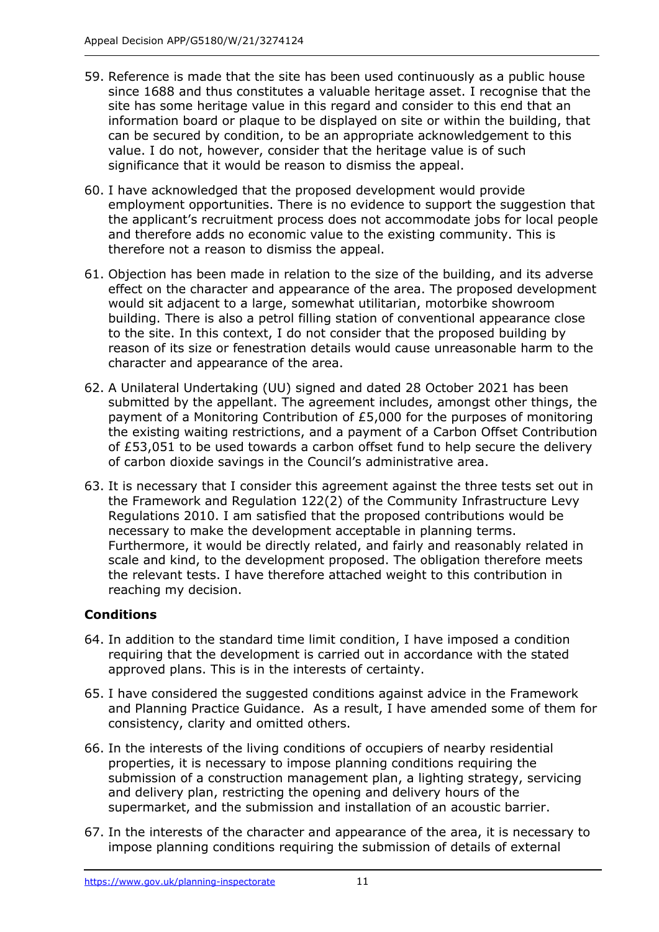- 59. Reference is made that the site has been used continuously as a public house since 1688 and thus constitutes a valuable heritage asset. I recognise that the site has some heritage value in this regard and consider to this end that an information board or plaque to be displayed on site or within the building, that can be secured by condition, to be an appropriate acknowledgement to this value. I do not, however, consider that the heritage value is of such significance that it would be reason to dismiss the appeal.
- 60. I have acknowledged that the proposed development would provide employment opportunities. There is no evidence to support the suggestion that the applicant's recruitment process does not accommodate jobs for local people and therefore adds no economic value to the existing community. This is therefore not a reason to dismiss the appeal.
- 61. Objection has been made in relation to the size of the building, and its adverse effect on the character and appearance of the area. The proposed development would sit adjacent to a large, somewhat utilitarian, motorbike showroom building. There is also a petrol filling station of conventional appearance close to the site. In this context, I do not consider that the proposed building by reason of its size or fenestration details would cause unreasonable harm to the character and appearance of the area.
- 62. A Unilateral Undertaking (UU) signed and dated 28 October 2021 has been submitted by the appellant. The agreement includes, amongst other things, the payment of a Monitoring Contribution of £5,000 for the purposes of monitoring the existing waiting restrictions, and a payment of a Carbon Offset Contribution of £53,051 to be used towards a carbon offset fund to help secure the delivery of carbon dioxide savings in the Council's administrative area.
- 63. It is necessary that I consider this agreement against the three tests set out in the Framework and Regulation 122(2) of the Community Infrastructure Levy Regulations 2010. I am satisfied that the proposed contributions would be necessary to make the development acceptable in planning terms. Furthermore, it would be directly related, and fairly and reasonably related in scale and kind, to the development proposed. The obligation therefore meets the relevant tests. I have therefore attached weight to this contribution in reaching my decision.

#### **Conditions**

- 64. In addition to the standard time limit condition, I have imposed a condition requiring that the development is carried out in accordance with the stated approved plans. This is in the interests of certainty.
- 65. I have considered the suggested conditions against advice in the Framework and Planning Practice Guidance. As a result, I have amended some of them for consistency, clarity and omitted others.
- 66. In the interests of the living conditions of occupiers of nearby residential properties, it is necessary to impose planning conditions requiring the submission of a construction management plan, a lighting strategy, servicing and delivery plan, restricting the opening and delivery hours of the supermarket, and the submission and installation of an acoustic barrier.
- 67. In the interests of the character and appearance of the area, it is necessary to impose planning conditions requiring the submission of details of external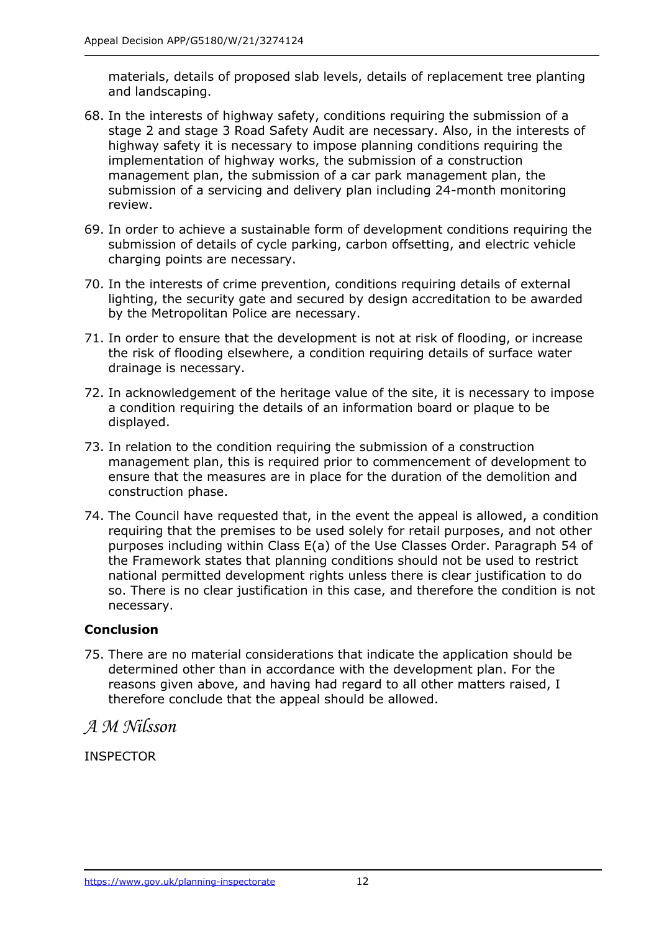materials, details of proposed slab levels, details of replacement tree planting and landscaping.

- 68. In the interests of highway safety, conditions requiring the submission of a stage 2 and stage 3 Road Safety Audit are necessary. Also, in the interests of highway safety it is necessary to impose planning conditions requiring the implementation of highway works, the submission of a construction management plan, the submission of a car park management plan, the submission of a servicing and delivery plan including 24-month monitoring review.
- 69. In order to achieve a sustainable form of development conditions requiring the submission of details of cycle parking, carbon offsetting, and electric vehicle charging points are necessary.
- 70. In the interests of crime prevention, conditions requiring details of external lighting, the security gate and secured by design accreditation to be awarded by the Metropolitan Police are necessary.
- 71. In order to ensure that the development is not at risk of flooding, or increase the risk of flooding elsewhere, a condition requiring details of surface water drainage is necessary.
- 72. In acknowledgement of the heritage value of the site, it is necessary to impose a condition requiring the details of an information board or plaque to be displayed.
- 73. In relation to the condition requiring the submission of a construction management plan, this is required prior to commencement of development to ensure that the measures are in place for the duration of the demolition and construction phase.
- 74. The Council have requested that, in the event the appeal is allowed, a condition requiring that the premises to be used solely for retail purposes, and not other purposes including within Class E(a) of the Use Classes Order. Paragraph 54 of the Framework states that planning conditions should not be used to restrict national permitted development rights unless there is clear justification to do so. There is no clear justification in this case, and therefore the condition is not necessary.

#### **Conclusion**

75. There are no material considerations that indicate the application should be determined other than in accordance with the development plan. For the reasons given above, and having had regard to all other matters raised, I therefore conclude that the appeal should be allowed.

*A M Nilsson* 

INSPECTOR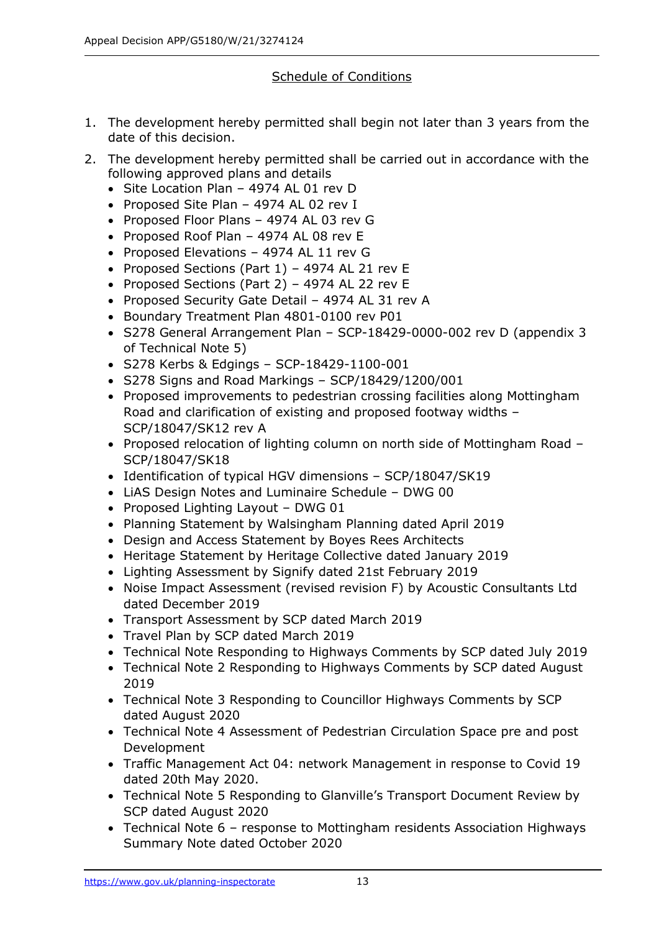### Schedule of Conditions

- 1. The development hereby permitted shall begin not later than 3 years from the date of this decision.
- 2. The development hereby permitted shall be carried out in accordance with the following approved plans and details
	- Site Location Plan 4974 AL 01 rev D
	- Proposed Site Plan 4974 AL 02 rev I
	- Proposed Floor Plans 4974 AL 03 rev G
	- Proposed Roof Plan 4974 AL 08 rev E
	- Proposed Elevations 4974 AL 11 rev G
	- Proposed Sections (Part 1) 4974 AL 21 rev E
	- Proposed Sections (Part 2) 4974 AL 22 rev E
	- Proposed Security Gate Detail 4974 AL 31 rev A
	- Boundary Treatment Plan 4801-0100 rev P01
	- S278 General Arrangement Plan SCP-18429-0000-002 rev D (appendix 3 of Technical Note 5)
	- S278 Kerbs & Edgings SCP-18429-1100-001
	- S278 Signs and Road Markings SCP/18429/1200/001
	- Proposed improvements to pedestrian crossing facilities along Mottingham Road and clarification of existing and proposed footway widths – SCP/18047/SK12 rev A
	- Proposed relocation of lighting column on north side of Mottingham Road SCP/18047/SK18
	- Identification of typical HGV dimensions SCP/18047/SK19
	- LiAS Design Notes and Luminaire Schedule DWG 00
	- Proposed Lighting Layout DWG 01
	- Planning Statement by Walsingham Planning dated April 2019
	- Design and Access Statement by Boyes Rees Architects
	- Heritage Statement by Heritage Collective dated January 2019
	- Lighting Assessment by Signify dated 21st February 2019
	- Noise Impact Assessment (revised revision F) by Acoustic Consultants Ltd dated December 2019
	- Transport Assessment by SCP dated March 2019
	- Travel Plan by SCP dated March 2019
	- Technical Note Responding to Highways Comments by SCP dated July 2019
	- Technical Note 2 Responding to Highways Comments by SCP dated August 2019
	- Technical Note 3 Responding to Councillor Highways Comments by SCP dated August 2020
	- Technical Note 4 Assessment of Pedestrian Circulation Space pre and post Development
	- Traffic Management Act 04: network Management in response to Covid 19 dated 20th May 2020.
	- Technical Note 5 Responding to Glanville's Transport Document Review by SCP dated August 2020
	- Technical Note 6 response to Mottingham residents Association Highways Summary Note dated October 2020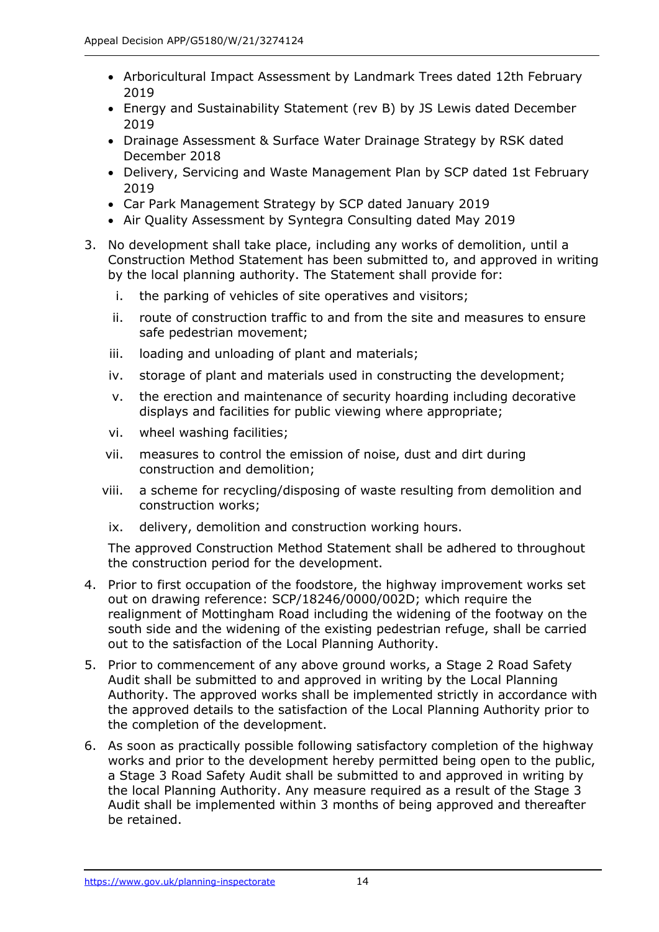- Arboricultural Impact Assessment by Landmark Trees dated 12th February 2019
- Energy and Sustainability Statement (rev B) by JS Lewis dated December 2019
- Drainage Assessment & Surface Water Drainage Strategy by RSK dated December 2018
- Delivery, Servicing and Waste Management Plan by SCP dated 1st February 2019
- Car Park Management Strategy by SCP dated January 2019
- Air Quality Assessment by Syntegra Consulting dated May 2019
- 3. No development shall take place, including any works of demolition, until a Construction Method Statement has been submitted to, and approved in writing by the local planning authority. The Statement shall provide for:
	- i. the parking of vehicles of site operatives and visitors;
	- ii. route of construction traffic to and from the site and measures to ensure safe pedestrian movement;
	- iii. loading and unloading of plant and materials;
	- iv. storage of plant and materials used in constructing the development;
	- v. the erection and maintenance of security hoarding including decorative displays and facilities for public viewing where appropriate;
	- vi. wheel washing facilities;
	- vii. measures to control the emission of noise, dust and dirt during construction and demolition;
	- viii. a scheme for recycling/disposing of waste resulting from demolition and construction works;
	- ix. delivery, demolition and construction working hours.

The approved Construction Method Statement shall be adhered to throughout the construction period for the development.

- 4. Prior to first occupation of the foodstore, the highway improvement works set out on drawing reference: SCP/18246/0000/002D; which require the realignment of Mottingham Road including the widening of the footway on the south side and the widening of the existing pedestrian refuge, shall be carried out to the satisfaction of the Local Planning Authority.
- 5. Prior to commencement of any above ground works, a Stage 2 Road Safety Audit shall be submitted to and approved in writing by the Local Planning Authority. The approved works shall be implemented strictly in accordance with the approved details to the satisfaction of the Local Planning Authority prior to the completion of the development.
- 6. As soon as practically possible following satisfactory completion of the highway works and prior to the development hereby permitted being open to the public, a Stage 3 Road Safety Audit shall be submitted to and approved in writing by the local Planning Authority. Any measure required as a result of the Stage 3 Audit shall be implemented within 3 months of being approved and thereafter be retained.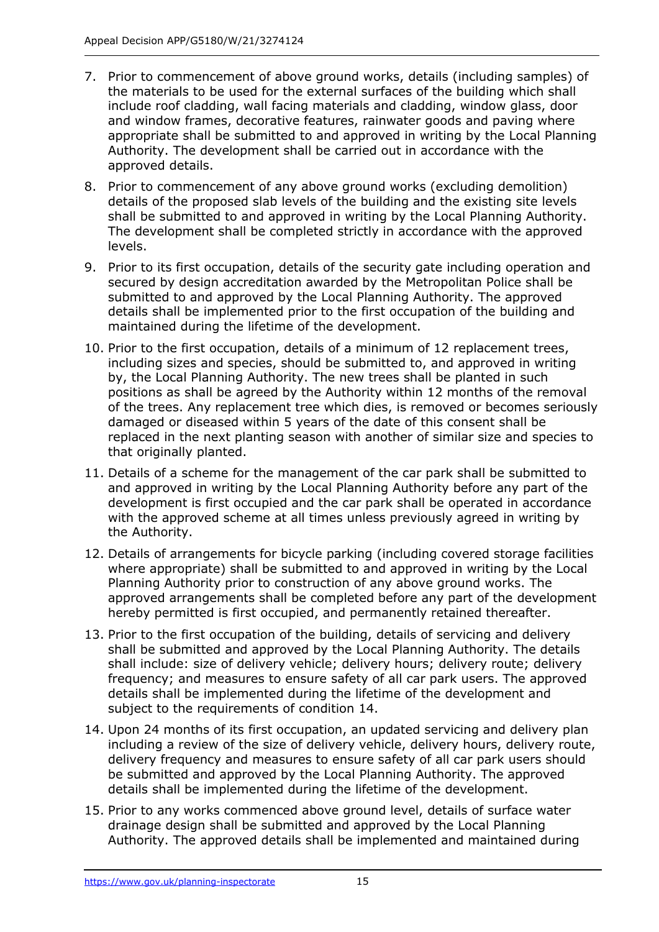- 7. Prior to commencement of above ground works, details (including samples) of the materials to be used for the external surfaces of the building which shall include roof cladding, wall facing materials and cladding, window glass, door and window frames, decorative features, rainwater goods and paving where appropriate shall be submitted to and approved in writing by the Local Planning Authority. The development shall be carried out in accordance with the approved details.
- 8. Prior to commencement of any above ground works (excluding demolition) details of the proposed slab levels of the building and the existing site levels shall be submitted to and approved in writing by the Local Planning Authority. The development shall be completed strictly in accordance with the approved levels.
- 9. Prior to its first occupation, details of the security gate including operation and secured by design accreditation awarded by the Metropolitan Police shall be submitted to and approved by the Local Planning Authority. The approved details shall be implemented prior to the first occupation of the building and maintained during the lifetime of the development.
- 10. Prior to the first occupation, details of a minimum of 12 replacement trees, including sizes and species, should be submitted to, and approved in writing by, the Local Planning Authority. The new trees shall be planted in such positions as shall be agreed by the Authority within 12 months of the removal of the trees. Any replacement tree which dies, is removed or becomes seriously damaged or diseased within 5 years of the date of this consent shall be replaced in the next planting season with another of similar size and species to that originally planted.
- 11. Details of a scheme for the management of the car park shall be submitted to and approved in writing by the Local Planning Authority before any part of the development is first occupied and the car park shall be operated in accordance with the approved scheme at all times unless previously agreed in writing by the Authority.
- 12. Details of arrangements for bicycle parking (including covered storage facilities where appropriate) shall be submitted to and approved in writing by the Local Planning Authority prior to construction of any above ground works. The approved arrangements shall be completed before any part of the development hereby permitted is first occupied, and permanently retained thereafter.
- 13. Prior to the first occupation of the building, details of servicing and delivery shall be submitted and approved by the Local Planning Authority. The details shall include: size of delivery vehicle; delivery hours; delivery route; delivery frequency; and measures to ensure safety of all car park users. The approved details shall be implemented during the lifetime of the development and subject to the requirements of condition 14.
- 14. Upon 24 months of its first occupation, an updated servicing and delivery plan including a review of the size of delivery vehicle, delivery hours, delivery route, delivery frequency and measures to ensure safety of all car park users should be submitted and approved by the Local Planning Authority. The approved details shall be implemented during the lifetime of the development.
- 15. Prior to any works commenced above ground level, details of surface water drainage design shall be submitted and approved by the Local Planning Authority. The approved details shall be implemented and maintained during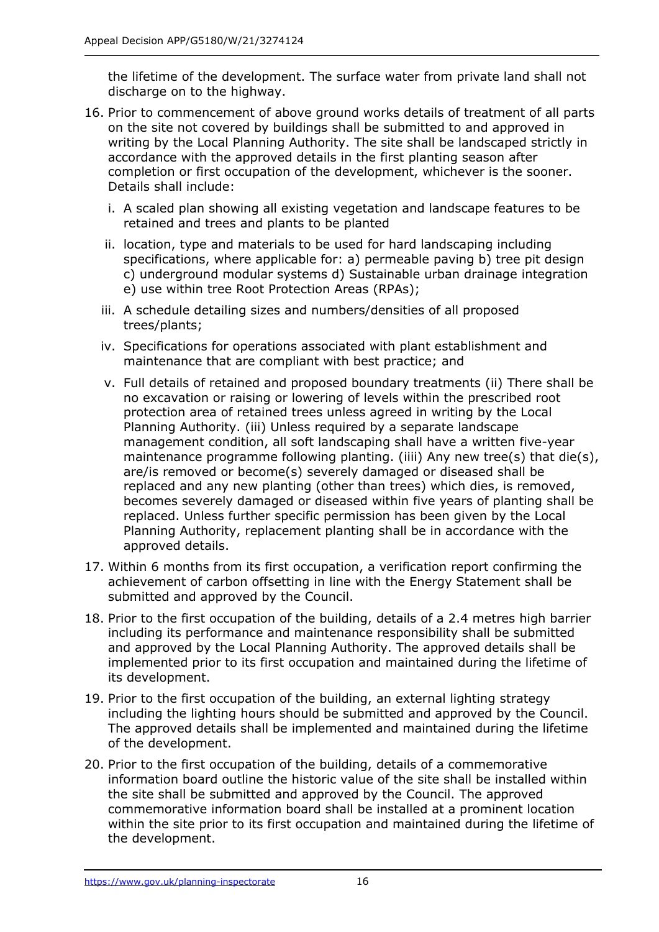the lifetime of the development. The surface water from private land shall not discharge on to the highway.

- 16. Prior to commencement of above ground works details of treatment of all parts on the site not covered by buildings shall be submitted to and approved in writing by the Local Planning Authority. The site shall be landscaped strictly in accordance with the approved details in the first planting season after completion or first occupation of the development, whichever is the sooner. Details shall include:
	- i. A scaled plan showing all existing vegetation and landscape features to be retained and trees and plants to be planted
	- ii. location, type and materials to be used for hard landscaping including specifications, where applicable for: a) permeable paving b) tree pit design c) underground modular systems d) Sustainable urban drainage integration e) use within tree Root Protection Areas (RPAs);
	- iii. A schedule detailing sizes and numbers/densities of all proposed trees/plants;
	- iv. Specifications for operations associated with plant establishment and maintenance that are compliant with best practice; and
	- v. Full details of retained and proposed boundary treatments (ii) There shall be no excavation or raising or lowering of levels within the prescribed root protection area of retained trees unless agreed in writing by the Local Planning Authority. (iii) Unless required by a separate landscape management condition, all soft landscaping shall have a written five-year maintenance programme following planting. (iiii) Any new tree(s) that die(s), are/is removed or become(s) severely damaged or diseased shall be replaced and any new planting (other than trees) which dies, is removed, becomes severely damaged or diseased within five years of planting shall be replaced. Unless further specific permission has been given by the Local Planning Authority, replacement planting shall be in accordance with the approved details.
- 17. Within 6 months from its first occupation, a verification report confirming the achievement of carbon offsetting in line with the Energy Statement shall be submitted and approved by the Council.
- 18. Prior to the first occupation of the building, details of a 2.4 metres high barrier including its performance and maintenance responsibility shall be submitted and approved by the Local Planning Authority. The approved details shall be implemented prior to its first occupation and maintained during the lifetime of its development.
- 19. Prior to the first occupation of the building, an external lighting strategy including the lighting hours should be submitted and approved by the Council. The approved details shall be implemented and maintained during the lifetime of the development.
- 20. Prior to the first occupation of the building, details of a commemorative information board outline the historic value of the site shall be installed within the site shall be submitted and approved by the Council. The approved commemorative information board shall be installed at a prominent location within the site prior to its first occupation and maintained during the lifetime of the development.